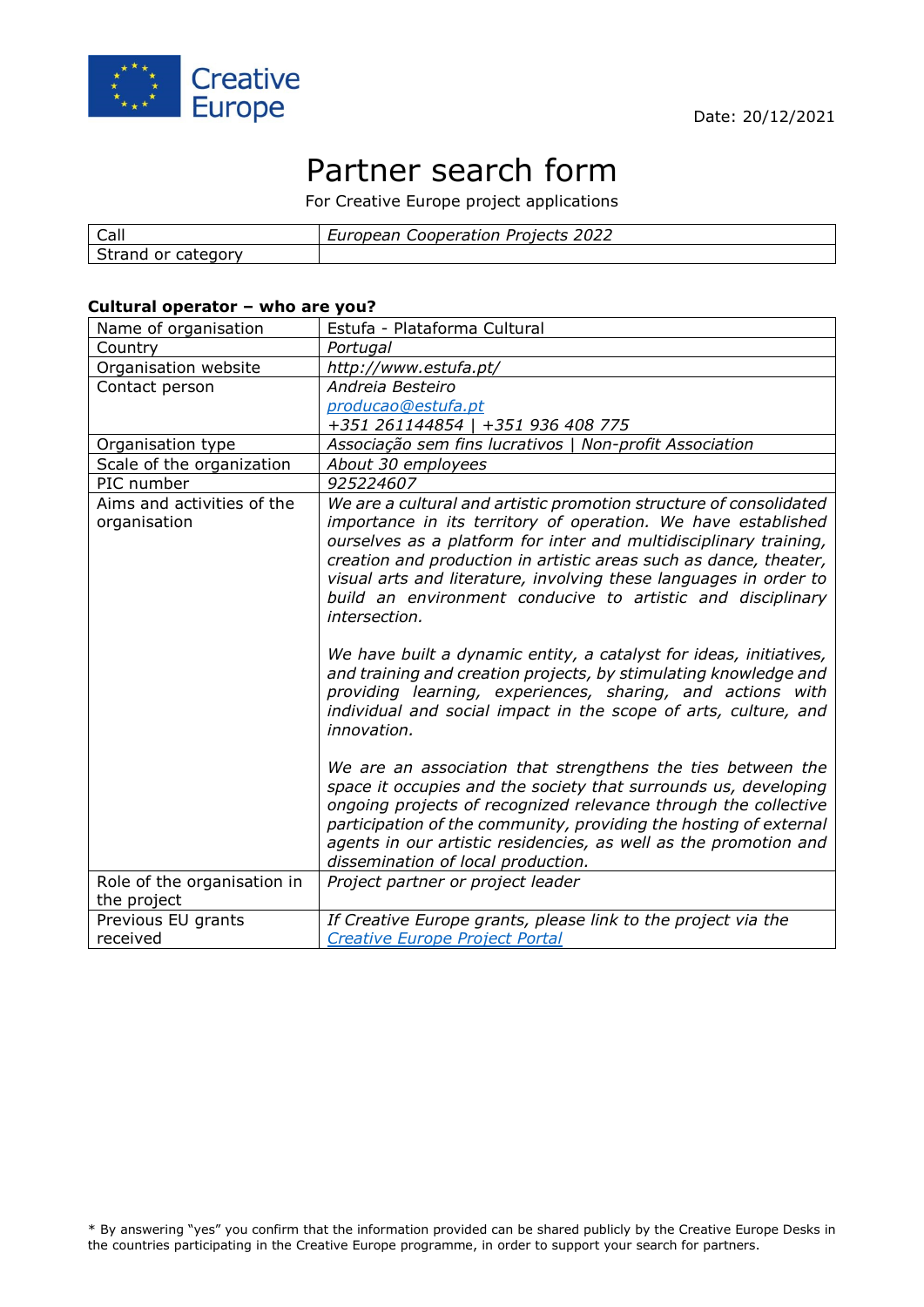

# Partner search form

For Creative Europe project applications

| $\sim$<br>Call         | 2022<br>Projects<br>Cooperation<br>Luranonn<br>cuı<br>obean |
|------------------------|-------------------------------------------------------------|
| category<br>or<br>dilu |                                                             |

#### **Cultural operator – who are you?**

| Name of organisation                       | Estufa - Plataforma Cultural                                                                                                                                                                                                                                                                                                                                                                                                       |
|--------------------------------------------|------------------------------------------------------------------------------------------------------------------------------------------------------------------------------------------------------------------------------------------------------------------------------------------------------------------------------------------------------------------------------------------------------------------------------------|
| Country                                    | Portugal                                                                                                                                                                                                                                                                                                                                                                                                                           |
| Organisation website                       | http://www.estufa.pt/                                                                                                                                                                                                                                                                                                                                                                                                              |
| Contact person                             | Andreia Besteiro                                                                                                                                                                                                                                                                                                                                                                                                                   |
|                                            | producao@estufa.pt                                                                                                                                                                                                                                                                                                                                                                                                                 |
|                                            | +351 261144854   +351 936 408 775                                                                                                                                                                                                                                                                                                                                                                                                  |
| Organisation type                          | Associação sem fins lucrativos   Non-profit Association                                                                                                                                                                                                                                                                                                                                                                            |
| Scale of the organization                  | About 30 employees                                                                                                                                                                                                                                                                                                                                                                                                                 |
| PIC number                                 | 925224607                                                                                                                                                                                                                                                                                                                                                                                                                          |
| Aims and activities of the<br>organisation | We are a cultural and artistic promotion structure of consolidated<br>importance in its territory of operation. We have established<br>ourselves as a platform for inter and multidisciplinary training,<br>creation and production in artistic areas such as dance, theater,<br>visual arts and literature, involving these languages in order to<br>build an environment conducive to artistic and disciplinary<br>intersection. |
|                                            | We have built a dynamic entity, a catalyst for ideas, initiatives,<br>and training and creation projects, by stimulating knowledge and<br>providing learning, experiences, sharing, and actions with<br>individual and social impact in the scope of arts, culture, and<br>innovation.                                                                                                                                             |
|                                            | We are an association that strengthens the ties between the<br>space it occupies and the society that surrounds us, developing<br>ongoing projects of recognized relevance through the collective<br>participation of the community, providing the hosting of external<br>agents in our artistic residencies, as well as the promotion and<br>dissemination of local production.                                                   |
| Role of the organisation in                | Project partner or project leader                                                                                                                                                                                                                                                                                                                                                                                                  |
| the project                                |                                                                                                                                                                                                                                                                                                                                                                                                                                    |
| Previous EU grants                         | If Creative Europe grants, please link to the project via the                                                                                                                                                                                                                                                                                                                                                                      |
| received                                   | <b>Creative Europe Project Portal</b>                                                                                                                                                                                                                                                                                                                                                                                              |